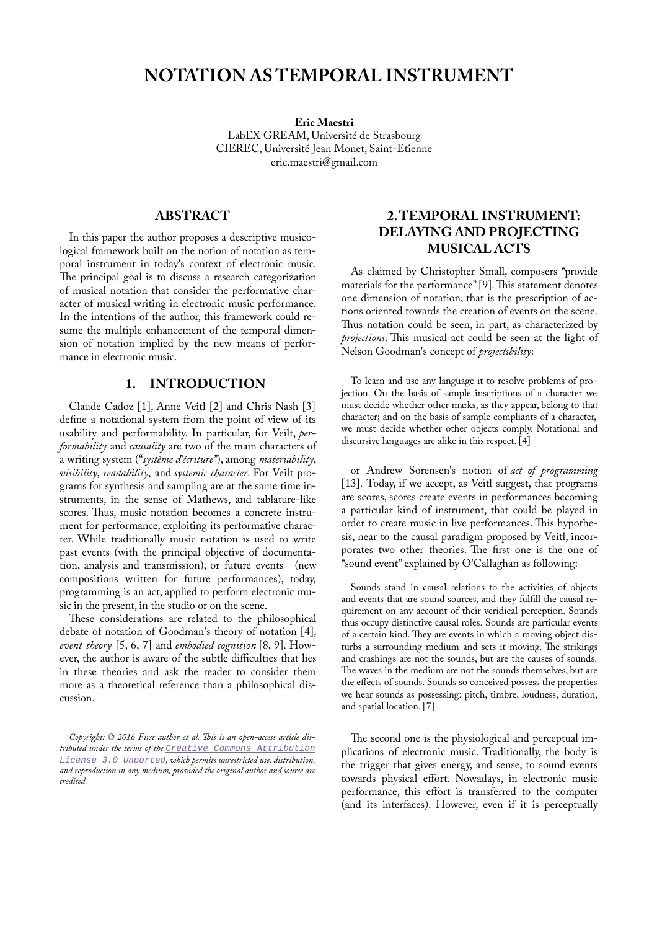# **NOTATION AS TEMPORAL INSTRUMENT**

**Eric Maestri** LabEX GREAM, Université de Strasbourg CIEREC, Université Jean Monet, Saint-Etienne eric.maestri@gmail.com

### **ABSTRACT**

In this paper the author proposes a descriptive musicological framework built on the notion of notation as temporal instrument in today's context of electronic music. The principal goal is to discuss a research categorization of musical notation that consider the performative character of musical writing in electronic music performance. In the intentions of the author, this framework could resume the multiple enhancement of the temporal dimension of notation implied by the new means of performance in electronic music.

## **1. INTRODUCTION**

Claude Cadoz [1], Anne Veitl [2] and Chris Nash [3] define a notational system from the point of view of its usability and performability. In particular, for Veilt, *performability* and *causality* are two of the main characters of a writing system ("*système d'écriture"*), among *materiability*, *visibility*, *readability*, and *systemic character*. For Veilt programs for synthesis and sampling are at the same time instruments, in the sense of Mathews, and tablature-like scores. Thus, music notation becomes a concrete instrument for performance, exploiting its performative character. While traditionally music notation is used to write past events (with the principal objective of documentation, analysis and transmission), or future events (new compositions written for future performances), today, programming is an act, applied to perform electronic music in the present, in the studio or on the scene.

These considerations are related to the philosophical debate of notation of Goodman's theory of notation [4], *event theory* [5, 6, 7] and *embodied cognition* [8, 9]. However, the author is aware of the subtle difficulties that lies in these theories and ask the reader to consider them more as a theoretical reference than a philosophical discussion.

## **2.TEMPORAL INSTRUMENT: DELAYING AND PROJECTING MUSICAL ACTS**

As claimed by Christopher Small, composers "provide materials for the performance" [9]. This statement denotes one dimension of notation, that is the prescription of actions oriented towards the creation of events on the scene. Thus notation could be seen, in part, as characterized by *projections*. This musical act could be seen at the light of Nelson Goodman's concept of *projectibility*:

To learn and use any language it to resolve problems of projection. On the basis of sample inscriptions of a character we must decide whether other marks, as they appear, belong to that character; and on the basis of sample compliants of a character, we must decide whether other objects comply. Notational and discursive languages are alike in this respect. [4]

or Andrew Sorensen's notion of *act of programming* [13]. Today, if we accept, as Veitl suggest, that programs are scores, scores create events in performances becoming a particular kind of instrument, that could be played in order to create music in live performances. This hypothesis, near to the causal paradigm proposed by Veitl, incorporates two other theories. The first one is the one of "sound event" explained by O'Callaghan as following:

Sounds stand in causal relations to the activities of objects and events that are sound sources, and they fulfill the causal requirement on any account of their veridical perception. Sounds thus occupy distinctive causal roles. Sounds are particular events of a certain kind. They are events in which a moving object disturbs a surrounding medium and sets it moving. The strikings and crashings are not the sounds, but are the causes of sounds. The waves in the medium are not the sounds themselves, but are the effects of sounds. Sounds so conceived possess the properties we hear sounds as possessing: pitch, timbre, loudness, duration, and spatial location. [7]

The second one is the physiological and perceptual implications of electronic music. Traditionally, the body is the trigger that gives energy, and sense, to sound events towards physical effort. Nowadays, in electronic music performance, this effort is transferred to the computer (and its interfaces). However, even if it is perceptually

*Copyright: © 2016 First author et al. This is an open-access article distributed under the terms of the [Creative Commons Attribution](http://creativecommons.org/licenses/by/3.0/) [License 3.0 Unported](http://creativecommons.org/licenses/by/3.0/), which permits unrestricted use, distribution, and reproduction in any medium, provided the original author and source are credited.*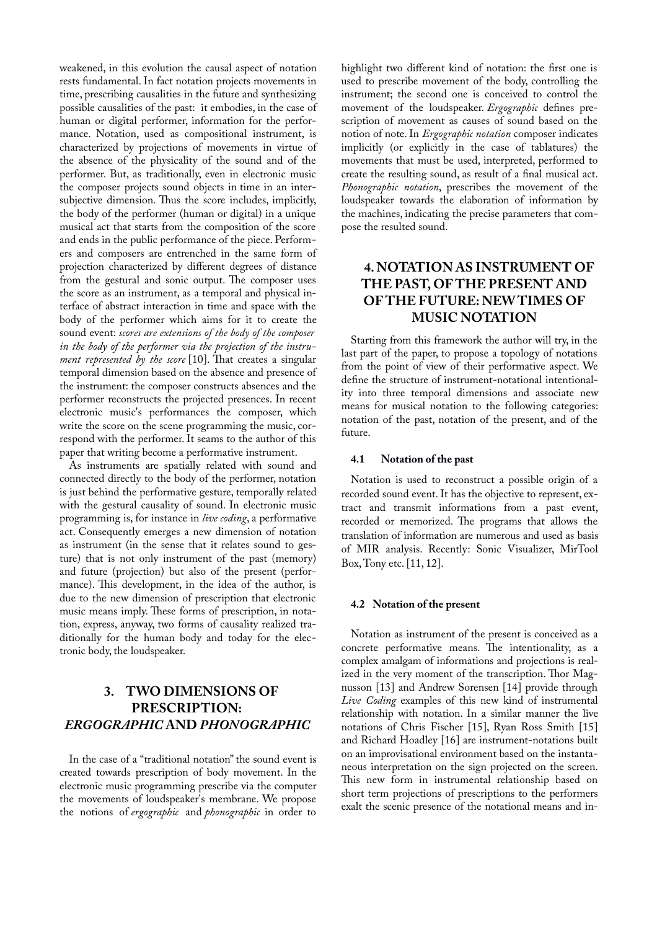weakened, in this evolution the causal aspect of notation rests fundamental. In fact notation projects movements in time, prescribing causalities in the future and synthesizing possible causalities of the past: it embodies, in the case of human or digital performer, information for the performance. Notation, used as compositional instrument, is characterized by projections of movements in virtue of the absence of the physicality of the sound and of the performer. But, as traditionally, even in electronic music the composer projects sound objects in time in an intersubjective dimension. Thus the score includes, implicitly, the body of the performer (human or digital) in a unique musical act that starts from the composition of the score and ends in the public performance of the piece. Performers and composers are entrenched in the same form of projection characterized by different degrees of distance from the gestural and sonic output. The composer uses the score as an instrument, as a temporal and physical interface of abstract interaction in time and space with the body of the performer which aims for it to create the sound event: *scores are extensions of the body of the composer in the body of the performer via the projection of the instrument represented by the score* [10]. That creates a singular temporal dimension based on the absence and presence of the instrument: the composer constructs absences and the performer reconstructs the projected presences. In recent electronic music's performances the composer, which write the score on the scene programming the music, correspond with the performer. It seams to the author of this paper that writing become a performative instrument.

As instruments are spatially related with sound and connected directly to the body of the performer, notation is just behind the performative gesture, temporally related with the gestural causality of sound. In electronic music programming is, for instance in *live coding*, a performative act. Consequently emerges a new dimension of notation as instrument (in the sense that it relates sound to gesture) that is not only instrument of the past (memory) and future (projection) but also of the present (performance). This development, in the idea of the author, is due to the new dimension of prescription that electronic music means imply. These forms of prescription, in notation, express, anyway, two forms of causality realized traditionally for the human body and today for the electronic body, the loudspeaker.

## **3. TWO DIMENSIONS OF PRESCRIPTION:** *ERGOGRAPHIC* **AND** *PHONOGRAPHIC*

In the case of a "traditional notation" the sound event is created towards prescription of body movement. In the electronic music programming prescribe via the computer the movements of loudspeaker's membrane. We propose the notions of *ergographic* and *phonographic* in order to highlight two different kind of notation: the first one is used to prescribe movement of the body, controlling the instrument; the second one is conceived to control the movement of the loudspeaker. *Ergographic* defines prescription of movement as causes of sound based on the notion of note. In *Ergographic notation* composer indicates implicitly (or explicitly in the case of tablatures) the movements that must be used, interpreted, performed to create the resulting sound, as result of a final musical act. *Phonographic notation*, prescribes the movement of the loudspeaker towards the elaboration of information by the machines, indicating the precise parameters that compose the resulted sound.

## **4. NOTATION AS INSTRUMENT OF THE PAST, OF THE PRESENT AND OF THE FUTURE: NEW TIMES OF MUSIC NOTATION**

Starting from this framework the author will try, in the last part of the paper, to propose a topology of notations from the point of view of their performative aspect. We define the structure of instrument-notational intentionality into three temporal dimensions and associate new means for musical notation to the following categories: notation of the past, notation of the present, and of the future.

#### **4.1 Notation of the past**

Notation is used to reconstruct a possible origin of a recorded sound event. It has the objective to represent, extract and transmit informations from a past event, recorded or memorized. The programs that allows the translation of information are numerous and used as basis of MIR analysis. Recently: Sonic Visualizer, MirTool Box, Tony etc. [11, 12].

#### **4.2 Notation of the present**

Notation as instrument of the present is conceived as a concrete performative means. The intentionality, as a complex amalgam of informations and projections is realized in the very moment of the transcription. Thor Magnusson [13] and Andrew Sorensen [14] provide through *Live Coding* examples of this new kind of instrumental relationship with notation. In a similar manner the live notations of Chris Fischer [15], Ryan Ross Smith [15] and Richard Hoadley [16] are instrument-notations built on an improvisational environment based on the instantaneous interpretation on the sign projected on the screen. This new form in instrumental relationship based on short term projections of prescriptions to the performers exalt the scenic presence of the notational means and in-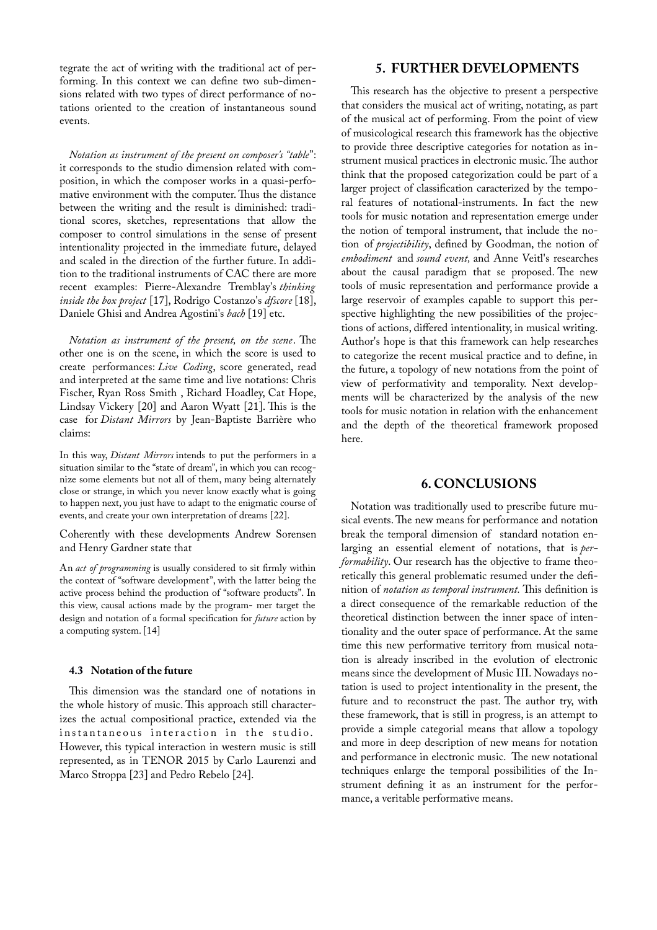tegrate the act of writing with the traditional act of performing. In this context we can define two sub-dimensions related with two types of direct performance of notations oriented to the creation of instantaneous sound events.

*Notation as instrument of the present on composer's "table*": it corresponds to the studio dimension related with composition, in which the composer works in a quasi-perfomative environment with the computer. Thus the distance between the writing and the result is diminished: traditional scores, sketches, representations that allow the composer to control simulations in the sense of present intentionality projected in the immediate future, delayed and scaled in the direction of the further future. In addition to the traditional instruments of CAC there are more recent examples: Pierre-Alexandre Tremblay's *thinking inside the box project* [17], Rodrigo Costanzo's *dfscore* [18], Daniele Ghisi and Andrea Agostini's *bach* [19] etc.

*Notation as instrument of the present, on the scene*. The other one is on the scene, in which the score is used to create performances: *Live Coding*, score generated, read and interpreted at the same time and live notations: Chris Fischer, Ryan Ross Smith , Richard Hoadley, Cat Hope, Lindsay Vickery [20] and Aaron Wyatt [21]. This is the case for *Distant Mirrors* by Jean-Baptiste Barrière who claims:

In this way, *Distant Mirrors* intends to put the performers in a situation similar to the "state of dream", in which you can recognize some elements but not all of them, many being alternately close or strange, in which you never know exactly what is going to happen next, you just have to adapt to the enigmatic course of events, and create your own interpretation of dreams [22].

Coherently with these developments Andrew Sorensen and Henry Gardner state that

An *act of programming* is usually considered to sit firmly within the context of "software development", with the latter being the active process behind the production of "software products". In this view, causal actions made by the program- mer target the design and notation of a formal specification for *future* action by a computing system. [14]

#### **4.3 Notation of the future**

This dimension was the standard one of notations in the whole history of music. This approach still characterizes the actual compositional practice, extended via the instantaneous interaction in the studio. However, this typical interaction in western music is still represented, as in TENOR 2015 by Carlo Laurenzi and Marco Stroppa [23] and Pedro Rebelo [24].

### **5. FURTHER DEVELOPMENTS**

This research has the objective to present a perspective that considers the musical act of writing, notating, as part of the musical act of performing. From the point of view of musicological research this framework has the objective to provide three descriptive categories for notation as instrument musical practices in electronic music. The author think that the proposed categorization could be part of a larger project of classification caracterized by the temporal features of notational-instruments. In fact the new tools for music notation and representation emerge under the notion of temporal instrument, that include the notion of *projectibility*, defined by Goodman, the notion of *embodiment* and *sound event,* and Anne Veitl's researches about the causal paradigm that se proposed. The new tools of music representation and performance provide a large reservoir of examples capable to support this perspective highlighting the new possibilities of the projections of actions, differed intentionality, in musical writing. Author's hope is that this framework can help researches to categorize the recent musical practice and to define, in the future, a topology of new notations from the point of view of performativity and temporality. Next developments will be characterized by the analysis of the new tools for music notation in relation with the enhancement and the depth of the theoretical framework proposed here.

### **6. CONCLUSIONS**

Notation was traditionally used to prescribe future musical events. The new means for performance and notation break the temporal dimension of standard notation enlarging an essential element of notations, that is *performability*. Our research has the objective to frame theoretically this general problematic resumed under the definition of *notation as temporal instrument.* This definition is a direct consequence of the remarkable reduction of the theoretical distinction between the inner space of intentionality and the outer space of performance. At the same time this new performative territory from musical notation is already inscribed in the evolution of electronic means since the development of Music III. Nowadays notation is used to project intentionality in the present, the future and to reconstruct the past. The author try, with these framework, that is still in progress, is an attempt to provide a simple categorial means that allow a topology and more in deep description of new means for notation and performance in electronic music. The new notational techniques enlarge the temporal possibilities of the Instrument defining it as an instrument for the performance, a veritable performative means.